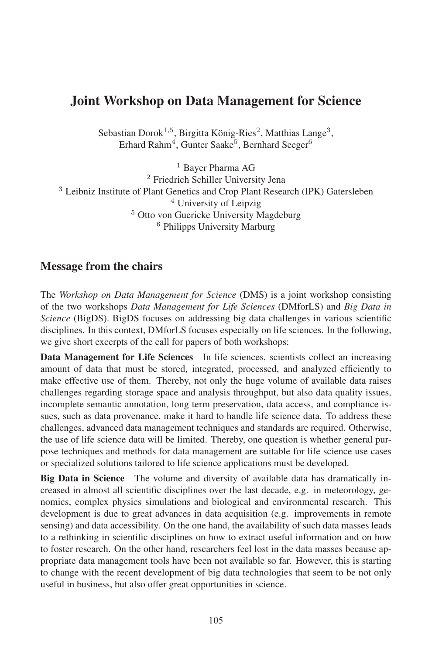# Joint Workshop on Data Management for Science

Sebastian Dorok<sup>1,5</sup>, Birgitta König-Ries<sup>2</sup>, Matthias Lange<sup>3</sup>, Erhard Rahm<sup>4</sup>, Gunter Saake<sup>5</sup>, Bernhard Seeger<sup>6</sup>

<sup>1</sup> Bayer Pharma AG Friedrich Schiller University Jena Leibniz Institute of Plant Genetics and Crop Plant Research (IPK) Gatersleben University of Leipzig Otto von Guericke University Magdeburg Philipps University Marburg

### Message from the chairs

The *Workshop on Data Management for Science* (DMS) is a joint workshop consisting of the two workshops *Data Management for Life Sciences* (DMforLS) and *Big Data in Science* (BigDS). BigDS focuses on addressing big data challenges in various scientific disciplines. In this context, DMforLS focuses especially on life sciences. In the following, we give short excerpts of the call for papers of both workshops:

Data Management for Life Sciences In life sciences, scientists collect an increasing amount of data that must be stored, integrated, processed, and analyzed efficiently to make effective use of them. Thereby, not only the huge volume of available data raises challenges regarding storage space and analysis throughput, but also data quality issues, incomplete semantic annotation, long term preservation, data access, and compliance issues, such as data provenance, make it hard to handle life science data. To address these challenges, advanced data management techniques and standards are required. Otherwise, the use of life science data will be limited. Thereby, one question is whether general purpose techniques and methods for data management are suitable for life science use cases or specialized solutions tailored to life science applications must be developed.

Big Data in Science The volume and diversity of available data has dramatically increased in almost all scientific disciplines over the last decade, e.g. in meteorology, genomics, complex physics simulations and biological and environmental research. This development is due to great advances in data acquisition (e.g. improvements in remote sensing) and data accessibility. On the one hand, the availability of such data masses leads to a rethinking in scientific disciplines on how to extract useful information and on how to foster research. On the other hand, researchers feel lost in the data masses because appropriate data management tools have been not available so far. However, this is starting to change with the recent development of big data technologies that seem to be not only useful in business, but also offer great opportunities in science.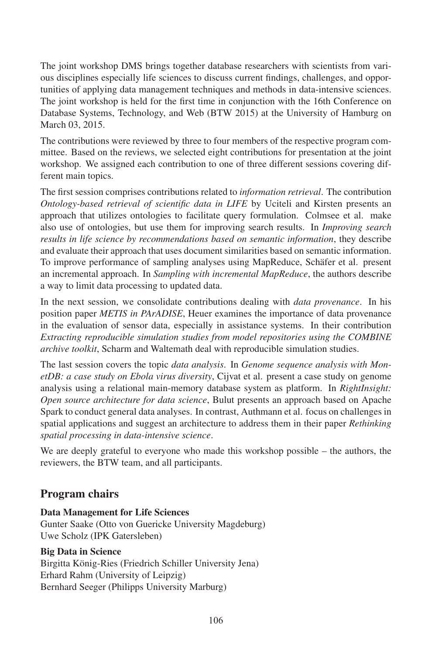The joint workshop DMS brings together database researchers with scientists from various disciplines especially life sciences to discuss current findings, challenges, and opportunities of applying data management techniques and methods in data-intensive sciences. The joint workshop is held for the first time in conjunction with the 16th Conference on Database Systems, Technology, and Web (BTW 2015) at the University of Hamburg on March 03, 2015.

The contributions were reviewed by three to four members of the respective program committee. Based on the reviews, we selected eight contributions for presentation at the joint workshop. We assigned each contribution to one of three different sessions covering different main topics.

The first session comprises contributions related to *information retrieval*. The contribution *Ontology-based retrieval of scientific data in LIFE* by Uciteli and Kirsten presents an approach that utilizes ontologies to facilitate query formulation. Colmsee et al. make also use of ontologies, but use them for improving search results. In *Improving search results in life science by recommendations based on semantic information*, they describe and evaluate their approach that uses document similarities based on semantic information. To improve performance of sampling analyses using MapReduce, Schäfer et al. present an incremental approach. In *Sampling with incremental MapReduce*, the authors describe a way to limit data processing to updated data.

In the next session, we consolidate contributions dealing with *data provenance*. In his position paper *METIS in PArADISE*, Heuer examines the importance of data provenance in the evaluation of sensor data, especially in assistance systems. In their contribution *Extracting reproducible simulation studies from model repositories using the COMBINE archive toolkit*, Scharm and Waltemath deal with reproducible simulation studies.

The last session covers the topic *data analysis*. In *Genome sequence analysis with MonetDB: a case study on Ebola virus diversity*, Cijvat et al. present a case study on genome analysis using a relational main-memory database system as platform. In *RightInsight: Open source architecture for data science*, Bulut presents an approach based on Apache Spark to conduct general data analyses. In contrast, Authmann et al. focus on challenges in spatial applications and suggest an architecture to address them in their paper *Rethinking spatial processing in data-intensive science*.

We are deeply grateful to everyone who made this workshop possible – the authors, the reviewers, the BTW team, and all participants.

# Program chairs

#### Data Management for Life Sciences

Gunter Saake (Otto von Guericke University Magdeburg) Uwe Scholz (IPK Gatersleben)

#### Big Data in Science

Birgitta König-Ries (Friedrich Schiller University Jena) Erhard Rahm (University of Leipzig) Bernhard Seeger (Philipps University Marburg)